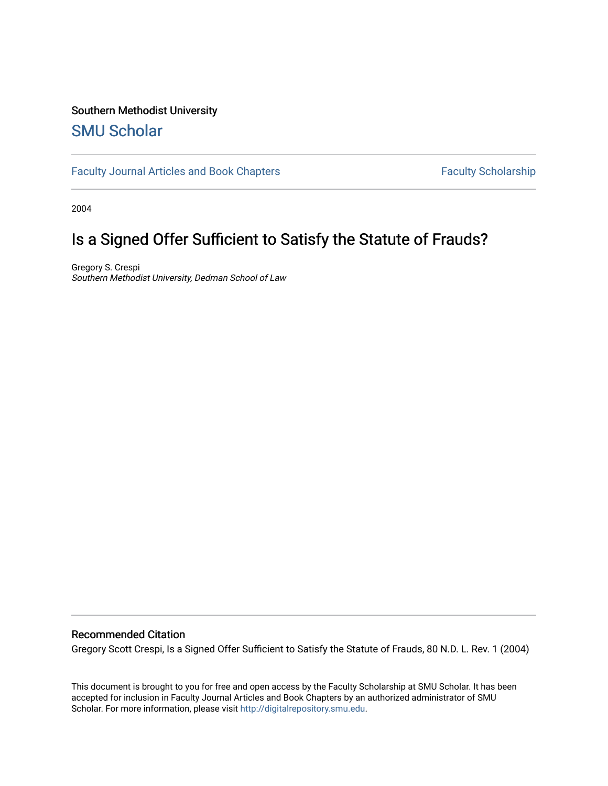# Southern Methodist University

## [SMU Scholar](https://scholar.smu.edu/)

[Faculty Journal Articles and Book Chapters](https://scholar.smu.edu/law_faculty) Faculty Scholarship

2004

# Is a Signed Offer Sufficient to Satisfy the Statute of Frauds?

Gregory S. Crespi Southern Methodist University, Dedman School of Law

## Recommended Citation

Gregory Scott Crespi, Is a Signed Offer Sufficient to Satisfy the Statute of Frauds, 80 N.D. L. Rev. 1 (2004)

This document is brought to you for free and open access by the Faculty Scholarship at SMU Scholar. It has been accepted for inclusion in Faculty Journal Articles and Book Chapters by an authorized administrator of SMU Scholar. For more information, please visit [http://digitalrepository.smu.edu.](http://digitalrepository.smu.edu/)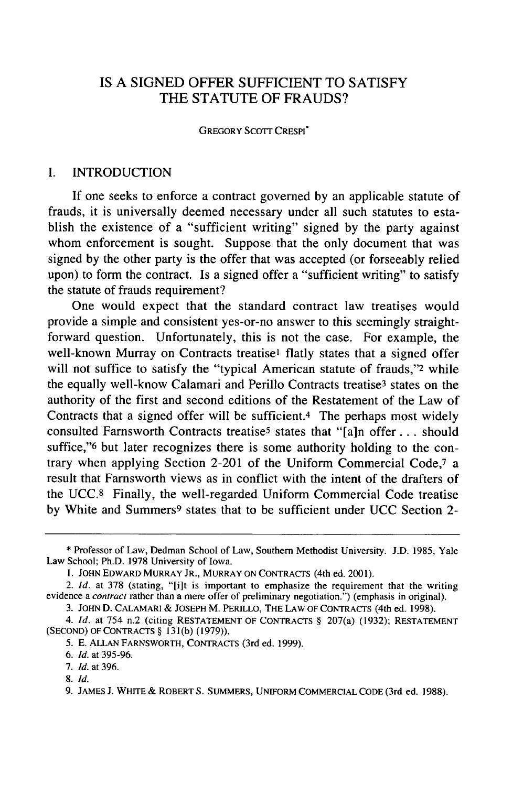## IS A SIGNED OFFER SUFFICIENT TO SATISFY THE STATUTE OF FRAUDS?

#### GREGORY **SCOTT** CRESPI"

### I. INTRODUCTION

If one seeks to enforce a contract governed **by** an applicable statute of frauds, it is universally deemed necessary under all such statutes to establish the existence of a "sufficient writing" signed by the party against whom enforcement is sought. Suppose that the only document that was signed by the other party is the offer that was accepted (or forseeably relied upon) to form the contract. Is a signed offer a "sufficient writing" to satisfy the statute of frauds requirement?

One would expect that the standard contract law treatises would provide a simple and consistent yes-or-no answer to this seemingly straightforward question. Unfortunately, this is not the case. For example, the well-known Murray on Contracts treatise' flatly states that a signed offer will not suffice to satisfy the "typical American statute of frauds,"<sup>2</sup> while the equally well-know Calamari and Perillo Contracts treatise<sup>3</sup> states on the authority of the first and second editions of the Restatement of the Law of Contracts that a signed offer will be sufficient.4 The perhaps most widely consulted Farnsworth Contracts treatise<sup>5</sup> states that "[a]n offer . . . should suffice," but later recognizes there is some authority holding to the contrary when applying Section 2-201 of the Uniform Commercial Code,7 a result that Farnsworth views as in conflict with the intent of the drafters of the UCC.8 Finally, the well-regarded Uniform Commercial Code treatise by White and Summers<sup>9</sup> states that to be sufficient under UCC Section 2-

8. *Id.*

<sup>\*</sup> Professor of Law, Dedman School of Law, Southern Methodist University. J.D. 1985, Yale Law School; Ph.D. 1978 University of Iowa.

<sup>1.</sup> JOHN EDWARD MURRAY JR., MURRAY ON CONTRACTS (4th ed. 2001).

<sup>2.</sup> *Id.* at 378 (stating, "[i]t is important to emphasize the requirement that the writing evidence a *contract* rather than a mere offer of preliminary negotiation.") (emphasis in original).

<sup>3.</sup> JOHN D. CALAMARI & JOSEPH M. PERILLO, THE LAW OF CONTRACTS (4th ed. 1998).

*<sup>4.</sup> Id.* at 754 n.2 (citing RESTATEMENT OF CONTRACTS § 207(a) (1932); RESTATEMENT (SECOND) OF CONTRACTS § **131** (b) (1979)).

<sup>5.</sup> E. ALLAN FARNSWORTH, CONTRACTS (3rd ed. 1999).

*<sup>6.</sup> Id.* at 395-96.

<sup>7.</sup> *Id.* at 396.

<sup>9.</sup> **JAMES J.** WHITE & ROBERT **S.** SUMMERS, UNIFORM COMMERCIAL CODE (3rd ed. 1988).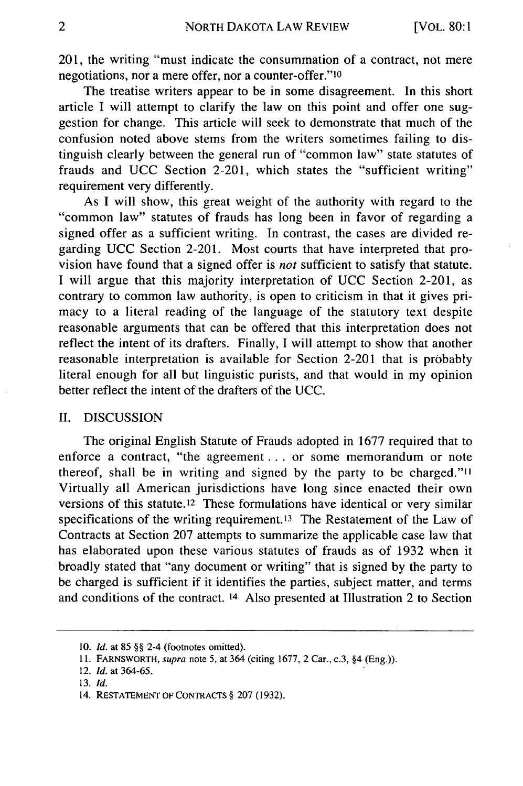201, the writing "must indicate the consummation of a contract, not mere negotiations, nor a mere offer, nor a counter-offer."10

The treatise writers appear to be in some disagreement. In this short article I will attempt to clarify the law on this point and offer one suggestion for change. This article will seek to demonstrate that much of the confusion noted above stems from the writers sometimes failing to distinguish clearly between the general run of "common law" state statutes of frauds and UCC Section 2-201, which states the "sufficient writing" requirement very differently.

As I will show, this great weight of the authority with regard to the "common law" statutes of frauds has long been in favor of regarding a signed offer as a sufficient writing. In contrast, the cases are divided regarding UCC Section 2-201. Most courts that have interpreted that provision have found that a signed offer is *not* sufficient to satisfy that statute. I will argue that this majority interpretation of UCC Section 2-201, as contrary to common law authority, is open to criticism in that it gives primacy to a literal reading of the language of the statutory text despite reasonable arguments that can be offered that this interpretation does not reflect the intent of its drafters. Finally, I will attempt to show that another reasonable interpretation is available for Section 2-201 that is probably literal enough for all but linguistic purists, and that would in my opinion better reflect the intent of the drafters of the UCC.

### II. DISCUSSION

The original English Statute of Frauds adopted in 1677 required that to enforce a contract, "the agreement **...** or some memorandum or note thereof, shall be in writing and signed by the party to be charged."<sup>11</sup> Virtually all American jurisdictions have long since enacted their own versions of this statute.<sup>12</sup> These formulations have identical or very similar specifications of the writing requirement.13 The Restatement of the Law of Contracts at Section 207 attempts to summarize the applicable case law that has elaborated upon these various statutes of frauds as of 1932 when it broadly stated that "any document or writing" that is signed by the party to be charged is sufficient if it identifies the parties, subject matter, and terms and conditions of the contract. 14 Also presented at Illustration 2 to Section

**<sup>10.</sup>** *Id.* at 85 §§ 2-4 (footnotes omitted).

**<sup>11.</sup>** FARNSWORTH, supra note 5, at 364 (citing 1677, 2 Car., c.3, §4 (Eng.)).

<sup>12.</sup> *Id.* at 364-65.

<sup>13.</sup> *Id.*

<sup>14.</sup> **RESTATEMENT** OF **CONTRACTS** § 207 (1932).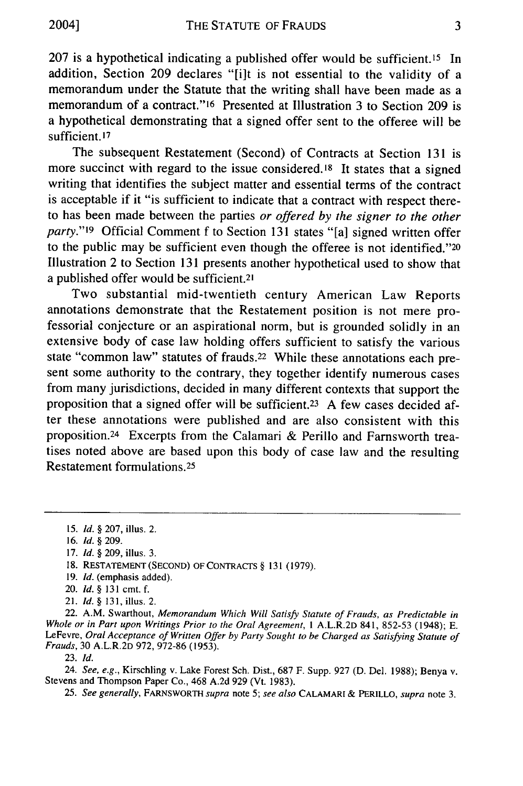207 is a hypothetical indicating a published offer would be sufficient.<sup>15</sup> In addition, Section 209 declares "[i]t is not essential to the validity of a memorandum under the Statute that the writing shall have been made as a memorandum of a contract."16 Presented at Illustration 3 to Section 209 is a hypothetical demonstrating that a signed offer sent to the offeree will be sufficient.<sup>17</sup>

The subsequent Restatement (Second) of Contracts at Section 131 is more succinct with regard to the issue considered.<sup>18</sup> It states that a signed writing that identifies the subject matter and essential terms of the contract is acceptable if it "is sufficient to indicate that a contract with respect thereto has been made between the parties *or offered by the signer to the other party."19* Official Comment f to Section 131 states "[a] signed written offer to the public may be sufficient even though the offeree is not identified."20 Illustration 2 to Section 131 presents another hypothetical used to show that a published offer would be sufficient.21

Two substantial mid-twentieth century American Law Reports annotations demonstrate that the Restatement position is not mere professorial conjecture or an aspirational norm, but is grounded solidly in an extensive body of case law holding offers sufficient to satisfy the various state "common law" statutes of frauds.22 While these annotations each present some authority to the contrary, they together identify numerous cases from many jurisdictions, decided in many different contexts that support the proposition that a signed offer will be sufficient.<sup>23</sup> A few cases decided after these annotations were published and are also consistent with this proposition. 24 Excerpts from the Calamari & Perillo and Farnsworth treatises noted above are based upon this body of case law and the resulting Restatement formulations. <sup>25</sup>

21. *Id. §* 131, illus. 2.

22. A.M. Swarthout, *Memorandum Which Will Satisfy Statute of Frauds, as Predictable in Whole or in Part upon Writings Prior to the Oral Agreement,* 1 A.L.R.2D 841, 852-53 (1948); E. LeFevre, *Oral Acceptance of Written Offer by Party Sought to be Charged as Satisfying Statute of Frauds,* 30 A.L.R.2D 972, 972-86 (1953).

23. *Id.*

24. *See, e.g.,* Kirschling v. Lake Forest Sch. Dist., 687 F. Supp. 927 (D. Del. 1988); Benya v. Stevens and Thompson Paper Co., 468 A.2d 929 (Vt. 1983).

*25. See generally,* FARNSWORTH *supra* note 5; *see also* CALAMARI & PERILLO, *supra* note 3.

<sup>15.</sup> *Id.* § 207, illus. 2.

<sup>16.</sup> *Id.* § 209.

<sup>17.</sup> *Id.* § 209, illus. 3.

<sup>18.</sup> RESTATEMENT (SECOND) OF CONTRACTS § 131 (1979).

<sup>19.</sup> *Id.* (emphasis added).

<sup>20.</sup> *Id. §* 131 cmt. f.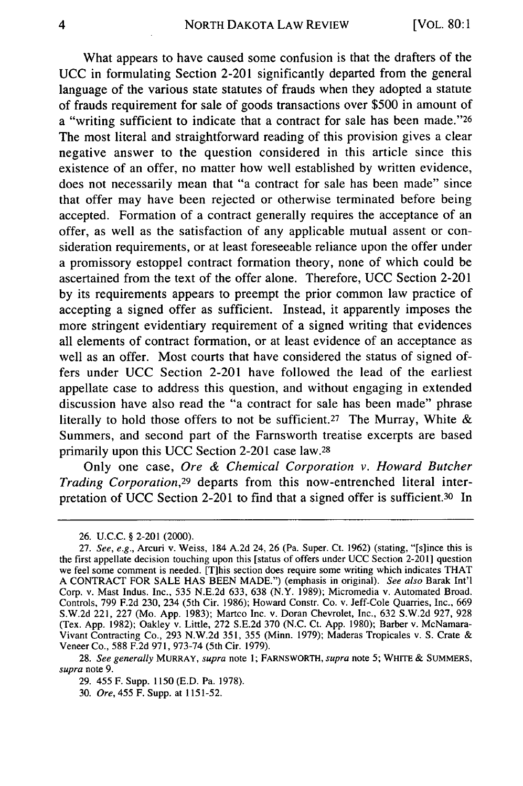What appears to have caused some confusion is that the drafters of the UCC in formulating Section 2-201 significantly departed from the general language of the various state statutes of frauds when they adopted a statute of frauds requirement for sale of goods transactions over \$500 in amount of a "writing sufficient to indicate that a contract for sale has been made."26 The most literal and straightforward reading of this provision gives a clear negative answer to the question considered in this article since this existence of an offer, no matter how well established by written evidence, does not necessarily mean that "a contract for sale has been made" since that offer may have been rejected or otherwise terminated before being accepted. Formation of a contract generally requires the acceptance of an offer, as well as the satisfaction of any applicable mutual assent or consideration requirements, or at least foreseeable reliance upon the offer under a promissory estoppel contract formation theory, none of which could be ascertained from the text of the offer alone. Therefore, UCC Section 2-201 by its requirements appears to preempt the prior common law practice of accepting a signed offer as sufficient. Instead, it apparently imposes the more stringent evidentiary requirement of a signed writing that evidences all elements of contract formation, or at least evidence of an acceptance as well as an offer. Most courts that have considered the status of signed offers under UCC Section 2-201 have followed the lead of the earliest appellate case to address this question, and without engaging in extended discussion have also read the "a contract for sale has been made" phrase literally to hold those offers to not be sufficient.<sup>27</sup> The Murray, White & Summers, and second part of the Farnsworth treatise excerpts are based primarily upon this UCC Section 2-201 case law.<sup>28</sup>

Only one case, *Ore & Chemical Corporation v. Howard Butcher Trading Corporation,29* departs from this now-entrenched literal interpretation of UCC Section 2-201 to find that a signed offer is sufficient.<sup>30</sup> In

<sup>26.</sup> U.C.C. § 2-201 (2000).

<sup>27.</sup> *See, e.g.,* Arcuri v. Weiss, 184 A.2d 24, 26 (Pa. Super. Ct. 1962) (stating, "[slince this is the first appellate decision touching upon this [status of offers under UCC Section 2-20 1] question we feel some comment is needed. [T]his section does require some writing which indicates THAT A CONTRACT FOR SALE HAS BEEN MADE.") (emphasis in original). *See also* Barak Int'l Corp. v. Mast Indus. Inc., 535 N.E.2d 633, 638 (N.Y. 1989); Micromedia v. Automated Broad. Controls, 799 F.2d 230, 234 (5th Cir. 1986); Howard Constr. Co. v. Jeff-Cole Quarries, Inc., 669 S.W.2d 221, 227 (Mo. App. 1983); Martco Inc. v. Doran Chevrolet, Inc., 632 S.W.2d 927, 928 (Tex. App. 1982); Oakley v. Little, 272 S.E.2d 370 (N.C. Ct. App. 1980); Barber v. McNamara-Vivant Contracting Co., 293 N.W.2d 351, 355 (Minn. 1979); Maderas Tropicales v. S. Crate & Veneer Co., 588 F.2d 971, 973-74 (5th Cir. 1979).

<sup>28.</sup> *See generally* MURRAY, *supra* note 1; FARNSWORTH, *supra* note 5; WHITE & SUMMERS, *supra* note 9.

<sup>29. 455</sup> F. Supp. 1150 (E.D. Pa. 1978).

<sup>30.</sup> *Ore,* 455 F. Supp. at 1151-52.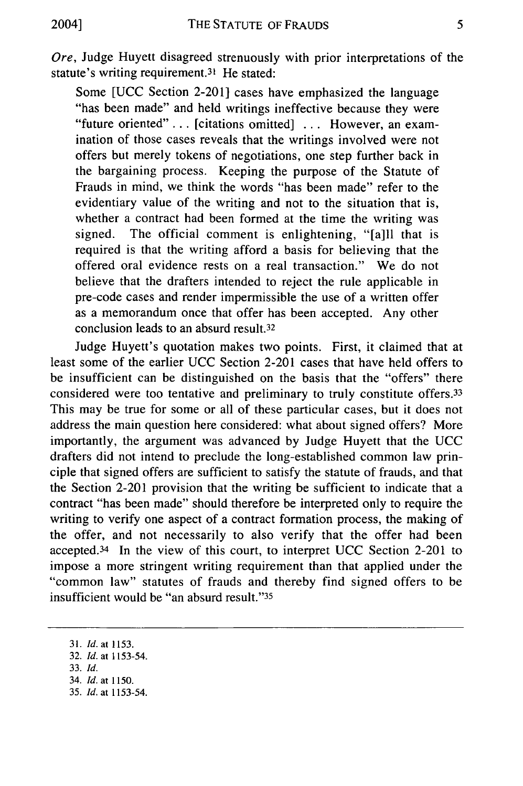Ore, Judge Huyett disagreed strenuously with prior interpretations of the statute's writing requirement.<sup>31</sup> He stated:

Some [UCC Section 2-201] cases have emphasized the language "has been made" and held writings ineffective because they were "future oriented" **. .** . [citations omitted] ... However, an examination of those cases reveals that the writings involved were not offers but merely tokens of negotiations, one step further back in the bargaining process. Keeping the purpose of the Statute of Frauds in mind, we think the words "has been made" refer to the evidentiary value of the writing and not to the situation that is, whether a contract had been formed at the time the writing was signed. The official comment is enlightening, "[a]ll that is required is that the writing afford a basis for believing that the offered oral evidence rests on a real transaction." We do not believe that the drafters intended to reject the rule applicable in pre-code cases and render impermissible the use of a written offer as a memorandum once that offer has been accepted. Any other conclusion leads to an absurd result.<sup>32</sup>

Judge Huyett's quotation makes two points. First, it claimed that at least some of the earlier UCC Section 2-201 cases that have held offers to be insufficient can be distinguished on the basis that the "offers" there considered were too tentative and preliminary to truly constitute offers.<sup>33</sup> This may be true for some or all of these particular cases, but it does not address the main question here considered: what about signed offers? More importantly, the argument was advanced by Judge Huyett that the UCC drafters did not intend to preclude the long-established common law principle that signed offers are sufficient to satisfy the statute of frauds, and that the Section 2-201 provision that the writing be sufficient to indicate that a contract "has been made" should therefore be interpreted only to require the writing to verify one aspect of a contract formation process, the making of the offer, and not necessarily to also verify that the offer had been accepted. 34 In the view of this court, to interpret UCC Section 2-201 to impose a more stringent writing requirement than that applied under the "common law" statutes of frauds and thereby find signed offers to be insufficient would be "an absurd result."<sup>35</sup>

<sup>31.</sup> *ld.* at 1153.

<sup>32.</sup> *Id.* at 1153-54.

<sup>33.</sup> *Id.*

<sup>34.</sup> *Id.* at 1150.

<sup>35.</sup> *Id.* at 1153-54.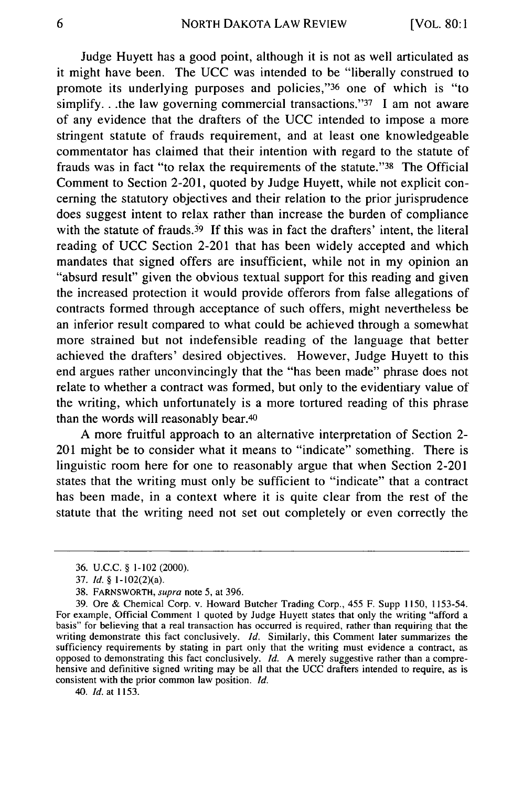Judge Huyett has a good point, although it is not as well articulated as it might have been. The UCC was intended to be "liberally construed to promote its underlying purposes and policies,"<sup>36</sup> one of which is "to simplify...the law governing commercial transactions." $37$  I am not aware of any evidence that the drafters of the UCC intended to impose a more stringent statute of frauds requirement, and at least one knowledgeable commentator has claimed that their intention with regard to the statute of frauds was in fact "to relax the requirements of the statute."38 The Official Comment to Section 2-201, quoted by Judge Huyett, while not explicit concerning the statutory objectives and their relation to the prior jurisprudence does suggest intent to relax rather than increase the burden of compliance with the statute of frauds.<sup>39</sup> If this was in fact the drafters' intent, the literal reading of UCC Section 2-201 that has been widely accepted and which mandates that signed offers are insufficient, while not in my opinion an "absurd result" given the obvious textual support for this reading and given the increased protection it would provide offerors from false allegations of contracts formed through acceptance of such offers, might nevertheless be an inferior result compared to what could be achieved through a somewhat more strained but not indefensible reading of the language that better achieved the drafters' desired objectives. However, Judge Huyett to this end argues rather unconvincingly that the "has been made" phrase does not relate to whether a contract was formed, but only to the evidentiary value of the writing, which unfortunately is a more tortured reading of this phrase than the words will reasonably bear.<sup>40</sup>

A more fruitful approach to an alternative interpretation of Section 2- 201 might be to consider what it means to "indicate" something. There is linguistic room here for one to reasonably argue that when Section 2-201 states that the writing must only be sufficient to "indicate" that a contract has been made, in a context where it is quite clear from the rest of the statute that the writing need not set out completely or even correctly the

*40. Id.* at 1153.

<sup>36.</sup> U.C.C. § 1-102 (2000).

<sup>37.</sup> *Id.* § 1-102(2)(a).

<sup>38.</sup> FARNSWORTH, supra note **5,** at 396.

<sup>39.</sup> Ore & Chemical Corp. v. Howard Butcher Trading Corp., 455 F. Supp 1150, 1153-54. For example, Official Comment 1 quoted by Judge Huyett states that only the writing "afford a basis" for believing that a real transaction has occurred is required, rather than requiring that the writing demonstrate this fact conclusively. *Id.* Similarly, this Comment later summarizes the sufficiency requirements by stating in part only that the writing must evidence a contract, as opposed to demonstrating this fact conclusively. *Id.* A merely suggestive rather than a comprehensive and definitive signed writing may be all that the UCC drafters intended to require, as is consistent with the prior common law position. *Id.*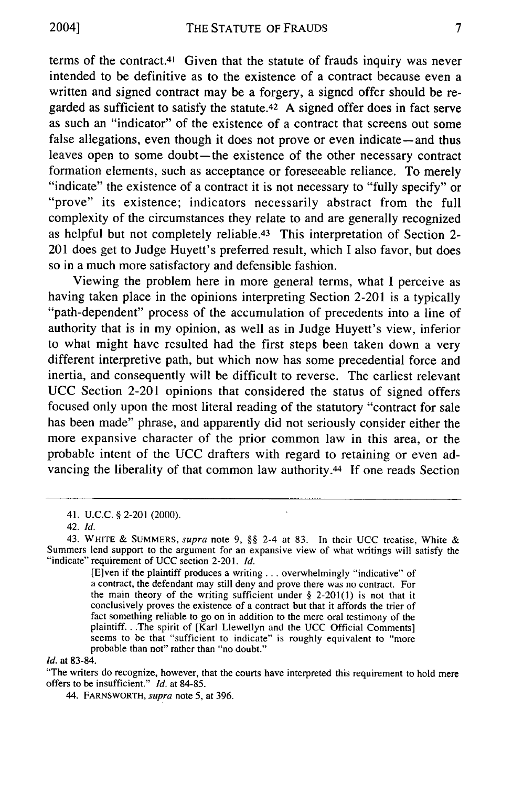terms of the contract.41 Given that the statute of frauds inquiry was never intended to be definitive as to the existence of a contract because even a written and signed contract may be a forgery, a signed offer should be regarded as sufficient to satisfy the statute.42 A signed offer does in fact serve as such an "indicator" of the existence of a contract that screens out some false allegations, even though it does not prove or even indicate—and thus leaves open to some doubt-the existence of the other necessary contract formation elements, such as acceptance or foreseeable reliance. To merely "indicate" the existence of a contract it is not necessary to "fully specify" or "prove" its existence; indicators necessarily abstract from the full complexity of the circumstances they relate to and are generally recognized as helpful but not completely reliable.<sup>43</sup> This interpretation of Section 2-201 does get to Judge Huyett's preferred result, which I also favor, but does so in a much more satisfactory and defensible fashion.

Viewing the problem here in more general terms, what I perceive as having taken place in the opinions interpreting Section 2-201 is a typically "path-dependent" process of the accumulation of precedents into a line of authority that is in my opinion, as well as in Judge Huyett's view, inferior to what might have resulted had the first steps been taken down a very different interpretive path, but which now has some precedential force and inertia, and consequently will be difficult to reverse. The earliest relevant UCC Section 2-201 opinions that considered the status of signed offers focused only upon the most literal reading of the statutory "contract for sale has been made" phrase, and apparently did not seriously consider either the more expansive character of the prior common law in this area, or the probable intent of the UCC drafters with regard to retaining or even advancing the liberality of that common law authority.<sup>44</sup> If one reads Section

[Elven if the plaintiff produces a writing... overwhelmingly "indicative" of a contract, the defendant may still deny and prove there was no contract. For the main theory of the writing sufficient under  $\S$  2-201(1) is not that it conclusively proves the existence of a contract but that it affords the trier of fact something reliable to go on in addition to the mere oral testimony of the plaintiff.. .The spirit of [Karl Llewellyn and the UCC Official Comments] seems to be that "sufficient to indicate" is roughly equivalent to "more probable than not" rather than "no doubt."

*Id.* at 83-84.

"The writers do recognize, however, that the courts have interpreted this requirement to hold mere offers to be insufficient." *Id.* at 84-85.

44. FARNSWORTH, *supra* note 5, at 396.

<sup>41.</sup> U.C.C. § 2-201 (2000).

<sup>42.</sup> *Id.*

<sup>43.</sup> WHITE & SUMMERS, *supra* note **9,** §§ 2-4 at 83. In their UCC treatise, White & Summers lend support to the argument for an expansive view of what writings will satisfy the "indicate" requirement of UCC section 2-201. *Id.*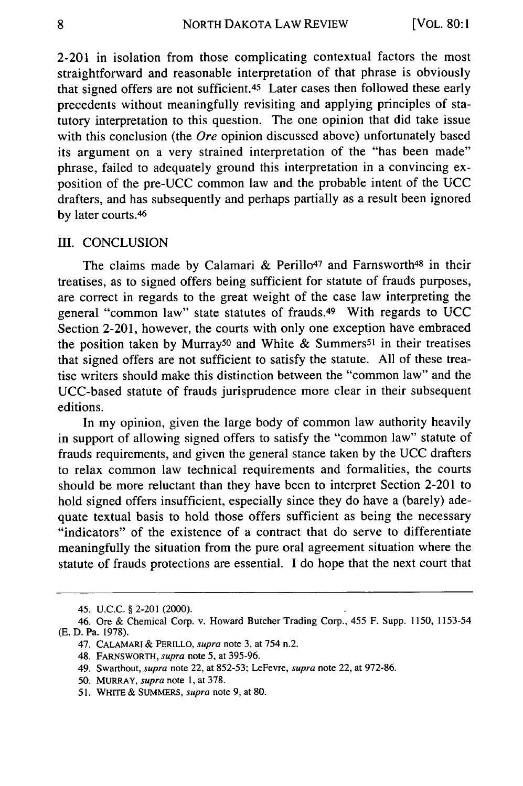2-201 in isolation from those complicating contextual factors the most straightforward and reasonable interpretation of that phrase is obviously that signed offers are not sufficient. 45 Later cases then followed these early precedents without meaningfully revisiting and applying principles of statutory interpretation to this question. The one opinion that did take issue with this conclusion (the  $Ore$  opinion discussed above) unfortunately based its argument on a very strained interpretation of the "has been made" phrase, failed to adequately ground this interpretation in a convincing exposition of the pre-UCC common law and the probable intent of the UCC drafters, and has subsequently and perhaps partially as a result been ignored by later courts.<sup>46</sup>

## III. CONCLUSION

The claims made by Calamari & Perillo<sup>47</sup> and Farnsworth<sup>48</sup> in their treatises, as to signed offers being sufficient for statute of frauds purposes, are correct in regards to the great weight of the case law interpreting the general "common law" state statutes of frauds. 49 With regards to UCC Section 2-201, however, the courts with only one exception have embraced the position taken by Murray<sup>50</sup> and White & Summers<sup>51</sup> in their treatises that signed offers are not sufficient to satisfy the statute. All of these treatise writers should make this distinction between the "common law" and the UCC-based statute of frauds jurisprudence more clear in their subsequent editions.

In my opinion, given the large body of common law authority heavily in support of allowing signed offers to satisfy the "common law" statute of frauds requirements, and given the general stance taken by the UCC drafters to relax common law technical requirements and formalities, the courts should be more reluctant than they have been to interpret Section 2-201 to hold signed offers insufficient, especially since they do have a (barely) adequate textual basis to hold those offers sufficient as being the necessary "indicators" of the existence of a contract that do serve to differentiate meaningfully the situation from the pure oral agreement situation where the statute of frauds protections are essential. I do hope that the next court that

<sup>45.</sup> U.C.C. § 2-201 (2000).

<sup>46.</sup> Ore & Chemical Corp. v. Howard Butcher Trading Corp., 455 F. Supp. **1150,** 1153-54 (E. D. Pa. 1978).

<sup>47.</sup> CALAMARI & PERILLO, *supra* note 3, at 754 n.2.

<sup>48.</sup> FARNSWORTH, *supra* note 5, at 395-96.

<sup>49.</sup> Swarthout, *supra* note 22, at 852-53; LeFevre, *supra* note 22, at 972-86.

<sup>50.</sup> MURRAY, *supra* note 1, at 378.

<sup>51.</sup> WHITE & SUMMERS, *supra* note 9, at **80.**